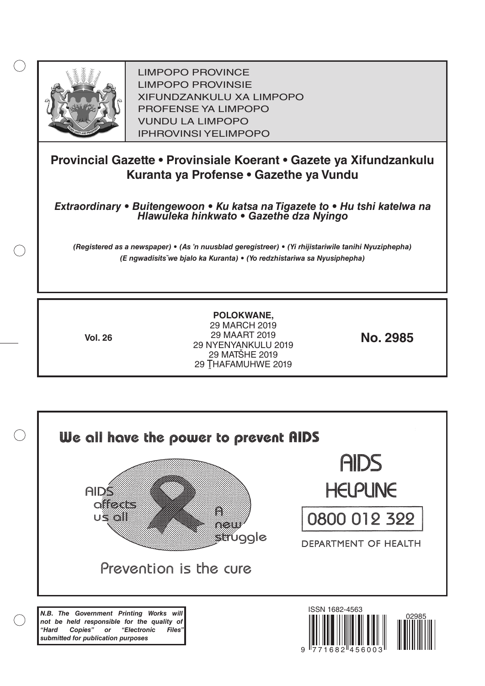

LIMPOPO PROVINCE LIMPOPO PROVINSIE XIFUNDZANKULU XA LIMPOPO PROFENSE YA LIMPOPO VUNDU LA LIMPOPO IPHROVINSI YELIMPOPO

# **Provincial Gazette • Provinsiale Koerant • Gazete ya Xifundzankulu Kuranta ya Profense • Gazethe ya Vundu**

*Extraordinary • Buitengewoon • Ku katsa na Tigazete to • Hu tshi katelwa na Hlawuleka hinkwato • Gazethe dza Nyingo*

*(Registered as a newspaper) • (As 'n nuusblad geregistreer) • (Yi rhijistariwile tanihi Nyuziphepha) (E ngwadisitsˇwe bjalo ka Kuranta) • (Yo redzhistariwa sa Nyusiphepha)*

**POLOKWANE,** 29 MARCH 2019 29 MAART 2019 29 NYENYANKULU 2019 29 MATŠHE 2019 29 THAFAMUHWE 2019 **Vol. 26 No. 2985**

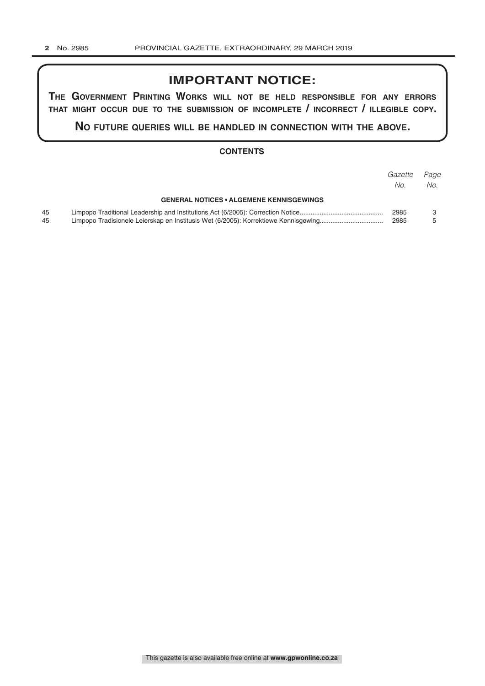# **IMPORTANT NOTICE:**

**The GovernmenT PrinTinG Works Will noT be held resPonsible for any errors ThaT miGhT occur due To The submission of incomPleTe / incorrecT / illeGible coPy.**

**no fuTure queries Will be handled in connecTion WiTh The above.**

## **CONTENTS**

|          |                                                                                     | Gazette<br>No. | Page<br>No. |
|----------|-------------------------------------------------------------------------------------|----------------|-------------|
|          | <b>GENERAL NOTICES • ALGEMENE KENNISGEWINGS</b>                                     |                |             |
| 45<br>45 | Limpopo Tradisionele Leierskap en Institusis Wet (6/2005): Korrektiewe Kennisgewing | 2985<br>2985   |             |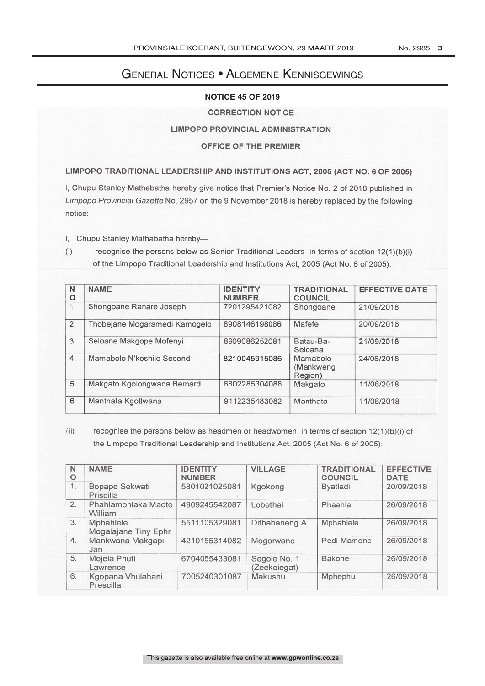# General Notices • Algemene Kennisgewings

# **NOTICE 45 OF 2019**

# **CORRECTION NOTICE**

# **LIMPOPO PROVINCIAL ADMINISTRATION**

# OFFICE OF THE PREMIER

LIMPOPO TRADITIONAL LEADERSHIP AND INSTITUTIONS ACT, 2005 (ACT NO. 6 OF 2005)

I, Chupu Stanley Mathabatha hereby give notice that Premier's Notice No. 2 of 2018 published in Limpopo Provincial Gazette No. 2957 on the 9 November 2018 is hereby replaced by the following notice:

I. Chupu Stanley Mathabatha hereby-

 $(i)$ recognise the persons below as Senior Traditional Leaders in terms of section 12(1)(b)(i) of the Limpopo Traditional Leadership and Institutions Act, 2005 (Act No. 6 of 2005):

| N<br>O           | <b>NAME</b>                   | <b>IDENTITY</b><br><b>NUMBER</b> | <b>TRADITIONAL</b><br><b>COUNCIL</b> | <b>EFFECTIVE DATE</b> |
|------------------|-------------------------------|----------------------------------|--------------------------------------|-----------------------|
| 1.               | Shongoane Ranare Joseph       | 7201295421082                    | Shongoane                            | 21/09/2018            |
| 2.               | Thobejane Mogaramedi Kamogelo | 8908146198086                    | Mafefe                               | 20/09/2018            |
| 3.               | Seloane Makgope Mofenyi       | 8909086252081                    | Batau-Ba-<br>Seloana                 | 21/09/2018            |
| $\overline{4}$ . | Mamabolo N'koshilo Second     | 8210045915086                    | Mamabolo<br>(Mankweng)<br>Region)    | 24/06/2018            |
| 5.               | Makgato Kgolongwana Bernard   | 6802285304088                    | Makgato                              | 11/06/2018            |
| 6.               | Manthata Kgotlwana            | 9112235483082                    | Manthata                             | 11/06/2018            |

| 3.               | Seloane Makgope Mofenyi                                                                                                                                                        |                                  | 8909086252081                | Batau-Ba-<br>21/09/2018<br>Seloana   |            |                                 |
|------------------|--------------------------------------------------------------------------------------------------------------------------------------------------------------------------------|----------------------------------|------------------------------|--------------------------------------|------------|---------------------------------|
| 4.               | Mamabolo N'koshilo Second                                                                                                                                                      |                                  | 8210045915086                | Mamabolo<br>(Mankweng<br>Region)     | 24/06/2018 |                                 |
| 5.               | Makgato Kgolongwana Bernard                                                                                                                                                    |                                  | 6802285304088                | Makgato                              | 11/06/2018 |                                 |
| 6.               | Manthata Kgotlwana                                                                                                                                                             |                                  | 9112235483082                | Manthata                             | 11/06/2018 |                                 |
| (ii)             | recognise the persons below as headmen or headwomen in terms of section $12(1)(b)(i)$ of<br>the Limpopo Traditional Leadership and Institutions Act, 2005 (Act No. 6 of 2005): |                                  |                              |                                      |            |                                 |
| N<br>$\circ$     | <b>NAME</b>                                                                                                                                                                    | <b>IDENTITY</b><br><b>NUMBER</b> | <b>VILLAGE</b>               | <b>TRADITIONAL</b><br><b>COUNCIL</b> |            | <b>EFFECTIVE</b><br><b>DATE</b> |
| $\overline{1}$ . | Bopape Sekwati<br>Priscilla                                                                                                                                                    | 5801021025081                    | Kgokong                      | <b>Byatladi</b>                      |            | 20/09/2018                      |
| 2.               | Phahlamohlaka Maoto<br>William                                                                                                                                                 | 4909245542087                    | Lobethal                     | Phaahla                              |            | 26/09/2018                      |
| 3.               | Mphahlele<br>Mogalajane Tiny Ephr                                                                                                                                              | 5511105329081                    | Dithabaneng A                | Mphahlele                            |            | 26/09/2018                      |
| 4.               | Mankwana Makgapi<br>Jan                                                                                                                                                        | 4210155314082                    | Mogorwane                    | Pedi-Mamone                          |            | 26/09/2018                      |
| 5.               | Mojela Phuti<br>Lawrence                                                                                                                                                       | 6704055433081                    | Segole No. 1<br>(Zeekoiegat) | <b>Bakone</b>                        |            | 26/09/2018                      |
| 6.               |                                                                                                                                                                                |                                  |                              |                                      |            |                                 |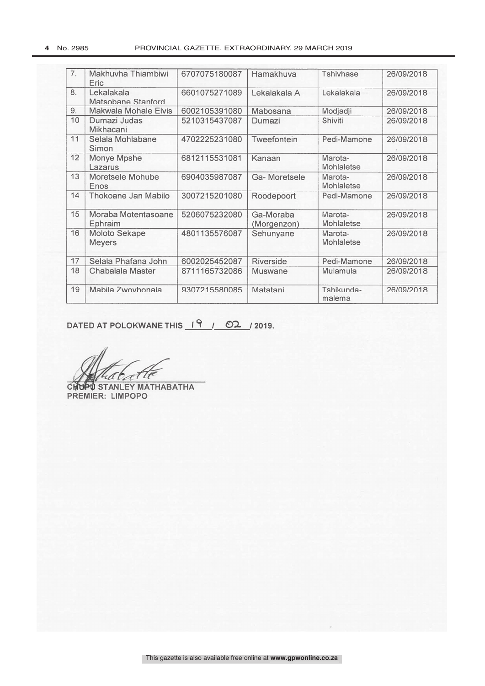| 7. | Makhuvha Thiambiwi<br>Eric              | 6707075180087 | Hamakhuva                | Tshivhase                    | 26/09/2018 |
|----|-----------------------------------------|---------------|--------------------------|------------------------------|------------|
| 8. | Lekalakala<br><b>Matsobane Stanford</b> | 6601075271089 | Lekalakala A             | Lekalakala                   | 26/09/2018 |
| 9. | <b>Makwala Mohale Elvis</b>             | 6002105391080 | Mabosana                 | Modjadji                     | 26/09/2018 |
| 10 | Dumazi Judas<br>Mikhacani               | 5210315437087 | Dumazi                   | Shiviti                      | 26/09/2018 |
| 11 | Selala Mohlabane<br>Simon               | 4702225231080 | Tweefontein              | Pedi-Mamone                  | 26/09/2018 |
| 12 | Monye Mpshe<br>Lazarus                  | 6812115531081 | Kanaan                   | Marota-<br>Mohlaletse        | 26/09/2018 |
| 13 | Moretsele Mohube<br>Enos                | 6904035987087 | Ga-Moretsele             | Marota-<br>Mohlaletse        | 26/09/2018 |
| 14 | Thokoane Jan Mabilo                     | 3007215201080 | Roodepoort               | Pedi-Mamone                  | 26/09/2018 |
| 15 | Moraba Motentasoane<br>Ephraim          | 5206075232080 | Ga-Moraba<br>(Morgenzon) | Marota-<br><b>Mohlaletse</b> | 26/09/2018 |
| 16 | Moloto Sekape<br><b>Meyers</b>          | 4801135576087 | Sehunyane                | Marota-<br>Mohlaletse        | 26/09/2018 |
| 17 | Selala Phafana John                     | 6002025452087 | <b>Riverside</b>         | Pedi-Mamone                  | 26/09/2018 |
| 18 | Chabalala Master                        | 8711165732086 | <b>Muswane</b>           | Mulamula                     | 26/09/2018 |
| 19 | Mabila Zwovhonala                       | 9307215580085 | Matatani                 | Tshikunda-<br>malema         | 26/09/2018 |

DATED AT POLOKWANE THIS 19 / 02 / 2019.

tatti iЛ

**CHUPU STANLEY MATHABATHA**<br>PREMIER: LIMPOPO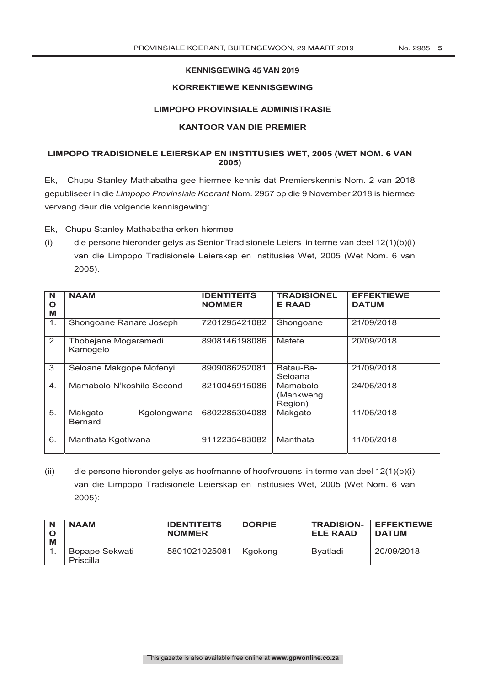# **KENNISGEWING 45 VAN 2019**

# **KORREKTIEWE KENNISGEWING**

#### **LIMPOPO PROVINSIALE ADMINISTRASIE**

#### **KANTOOR VAN DIE PREMIER**

#### **LIMPOPO TRADISIONELE LEIERSKAP EN INSTITUSIES WET, 2005 (WET NOM. 6 VAN 2005)**

Ek, Chupu Stanley Mathabatha gee hiermee kennis dat Premierskennis Nom. 2 van 2018 gepubliseer in die *Limpopo Provinsiale Koerant* Nom. 2957 op die 9 November 2018 is hiermee vervang deur die volgende kennisgewing:

Ek, Chupu Stanley Mathabatha erken hiermee—

(i) die persone hieronder gelys as Senior Tradisionele Leiers in terme van deel 12(1)(b)(i) van die Limpopo Tradisionele Leierskap en Institusies Wet, 2005 (Wet Nom. 6 van 2005):

| N<br>O<br>M | <b>NAAM</b>                              | <b>IDENTITEITS</b><br><b>NOMMER</b> | <b>TRADISIONEL</b><br><b>E RAAD</b> | <b>EFFEKTIEWE</b><br><b>DATUM</b> |
|-------------|------------------------------------------|-------------------------------------|-------------------------------------|-----------------------------------|
| 1.          | Shongoane Ranare Joseph                  | 7201295421082                       | Shongoane                           | 21/09/2018                        |
| 2.          | Thobejane Mogaramedi<br>Kamogelo         | 8908146198086                       | Mafefe                              | 20/09/2018                        |
| 3.          | Seloane Makgope Mofenyi                  | 8909086252081                       | Batau-Ba-<br>Seloana                | 21/09/2018                        |
| 4.          | Mamabolo N'koshilo Second                | 8210045915086                       | Mamabolo<br>(Mankweng)<br>Region)   | 24/06/2018                        |
| 5.          | Makgato<br>Kgolongwana<br><b>Bernard</b> | 6802285304088                       | Makgato                             | 11/06/2018                        |
| 6.          | Manthata Kgotlwana                       | 9112235483082                       | Manthata                            | 11/06/2018                        |

(ii) die persone hieronder gelys as hoofmanne of hoofvrouens in terme van deel 12(1)(b)(i) van die Limpopo Tradisionele Leierskap en Institusies Wet, 2005 (Wet Nom. 6 van 2005):

| M | <b>NAAM</b>                 | <b>IDENTITEITS</b><br><b>NOMMER</b> | <b>DORPIE</b> | <b>TRADISION-</b><br><b>ELE RAAD</b> | <b>EFFEKTIEWE</b><br><b>DATUM</b> |
|---|-----------------------------|-------------------------------------|---------------|--------------------------------------|-----------------------------------|
|   | Bopape Sekwati<br>Priscilla | 5801021025081                       | l Kaokona     | Bvatladi                             | 20/09/2018                        |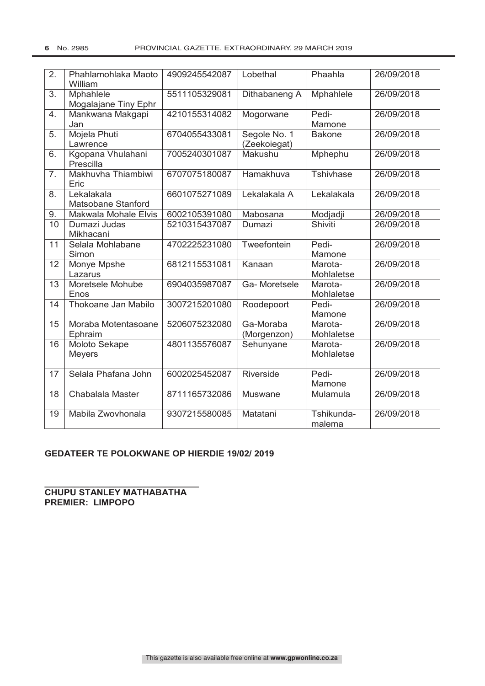| 2.               | Phahlamohlaka Maoto<br>William    | 4909245542087 | Lobethal                     | Phaahla               | 26/09/2018 |
|------------------|-----------------------------------|---------------|------------------------------|-----------------------|------------|
| 3.               | Mphahlele<br>Mogalajane Tiny Ephr | 5511105329081 | Dithabaneng A                | Mphahlele             | 26/09/2018 |
| 4.               | Mankwana Makgapi<br>Jan           | 4210155314082 | Mogorwane                    | Pedi-<br>Mamone       | 26/09/2018 |
| 5.               | Mojela Phuti<br>Lawrence          | 6704055433081 | Segole No. 1<br>(Zeekoiegat) | <b>Bakone</b>         | 26/09/2018 |
| 6.               | Kgopana Vhulahani<br>Prescilla    | 7005240301087 | Makushu                      | Mphephu               | 26/09/2018 |
| $\overline{7}$ . | Makhuvha Thiambiwi<br>Eric        | 6707075180087 | Hamakhuva                    | Tshivhase             | 26/09/2018 |
| 8.               | Lekalakala<br>Matsobane Stanford  | 6601075271089 | Lekalakala A                 | Lekalakala            | 26/09/2018 |
| 9.               | Makwala Mohale Elvis              | 6002105391080 | Mabosana                     | Modjadji              | 26/09/2018 |
| 10               | Dumazi Judas<br>Mikhacani         | 5210315437087 | Dumazi                       | Shiviti               | 26/09/2018 |
| 11               | Selala Mohlabane<br>Simon         | 4702225231080 | Tweefontein                  | Pedi-<br>Mamone       | 26/09/2018 |
| 12               | Monye Mpshe<br>Lazarus            | 6812115531081 | Kanaan                       | Marota-<br>Mohlaletse | 26/09/2018 |
| 13               | Moretsele Mohube<br>Enos          | 6904035987087 | Ga-Moretsele                 | Marota-<br>Mohlaletse | 26/09/2018 |
| 14               | Thokoane Jan Mabilo               | 3007215201080 | Roodepoort                   | Pedi-<br>Mamone       | 26/09/2018 |
| 15               | Moraba Motentasoane<br>Ephraim    | 5206075232080 | Ga-Moraba<br>(Morgenzon)     | Marota-<br>Mohlaletse | 26/09/2018 |
| 16               | Moloto Sekape<br><b>Meyers</b>    | 4801135576087 | Sehunyane                    | Marota-<br>Mohlaletse | 26/09/2018 |
| 17               | Selala Phafana John               | 6002025452087 | Riverside                    | Pedi-<br>Mamone       | 26/09/2018 |
| 18               | Chabalala Master                  | 8711165732086 | <b>Muswane</b>               | Mulamula              | 26/09/2018 |
| 19               | Mabila Zwovhonala                 | 9307215580085 | Matatani                     | Tshikunda-<br>malema  | 26/09/2018 |

# **GEDATEER TE POLOKWANE OP HIERDIE 19/02/ 2019**

**\_\_\_\_\_\_\_\_\_\_\_\_\_\_\_\_\_\_\_\_\_\_\_\_\_\_\_\_\_\_\_ CHUPU STANLEY MATHABATHA PREMIER: LIMPOPO**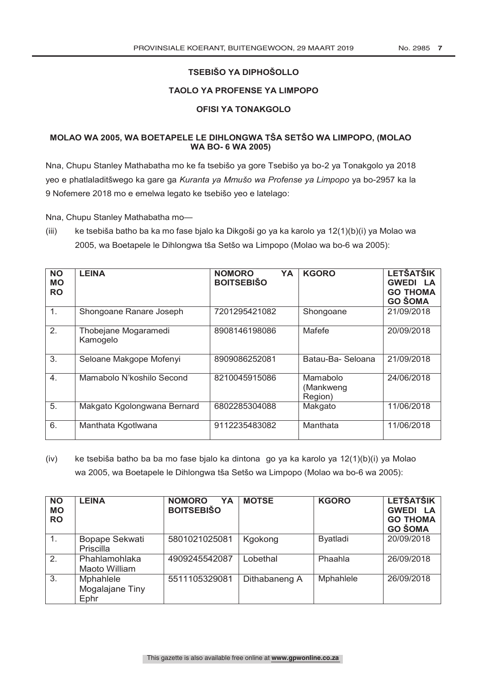# **TSEBIŠO YA DIPHOŠOLLO**

# **TAOLO YA PROFENSE YA LIMPOPO**

# **OFISI YA TONAKGOLO**

# **MOLAO WA 2005, WA BOETAPELE LE DIHLONGWA TŠA SETŠO WA LIMPOPO, (MOLAO WA BO- 6 WA 2005)**

Nna, Chupu Stanley Mathabatha mo ke fa tsebišo ya gore Tsebišo ya bo-2 ya Tonakgolo ya 2018 yeo e phatlaladitšwego ka gare ga *Kuranta ya Mmušo wa Profense ya Limpopo* ya bo-2957 ka la 9 Nofemere 2018 mo e emelwa legato ke tsebišo yeo e latelago:

Nna, Chupu Stanley Mathabatha mo—

(iii) ke tsebiša batho ba ka mo fase bjalo ka Dikgoši go ya ka karolo ya 12(1)(b)(i) ya Molao wa 2005, wa Boetapele le Dihlongwa tša Setšo wa Limpopo (Molao wa bo-6 wa 2005):

| <b>NO</b><br><b>MO</b><br><b>RO</b> | <b>LEINA</b>                     | YA<br><b>NOMORO</b><br><b>BOITSEBIŠO</b> | <b>KGORO</b>                     | <b>LETŠATŠIK</b><br><b>GWEDI LA</b><br><b>GO THOMA</b><br><b>GO ŠOMA</b> |
|-------------------------------------|----------------------------------|------------------------------------------|----------------------------------|--------------------------------------------------------------------------|
| $\mathbf 1$ .                       | Shongoane Ranare Joseph          | 7201295421082                            | Shongoane                        | 21/09/2018                                                               |
| 2.                                  | Thobejane Mogaramedi<br>Kamogelo | 8908146198086                            | Mafefe                           | 20/09/2018                                                               |
| 3.                                  | Seloane Makgope Mofenyi          | 8909086252081                            | Batau-Ba- Seloana                | 21/09/2018                                                               |
| 4.                                  | Mamabolo N'koshilo Second        | 8210045915086                            | Mamabolo<br>(Mankweng<br>Region) | 24/06/2018                                                               |
| 5.                                  | Makgato Kgolongwana Bernard      | 6802285304088                            | Makgato                          | 11/06/2018                                                               |
| 6.                                  | Manthata Kgotlwana               | 9112235483082                            | Manthata                         | 11/06/2018                                                               |

(iv) ke tsebiša batho ba ba mo fase bjalo ka dintona go ya ka karolo ya 12(1)(b)(i) ya Molao wa 2005, wa Boetapele le Dihlongwa tša Setšo wa Limpopo (Molao wa bo-6 wa 2005):

| <b>NO</b><br><b>MO</b><br><b>RO</b> | <b>LEINA</b>                                | <b>NOMORO</b><br>YA<br><b>BOITSEBIŠO</b> | <b>MOTSE</b>  | <b>KGORO</b>    | <b>LETŠATŠIK</b><br><b>GWEDI LA</b><br><b>GO THOMA</b><br><b>GO ŠOMA</b> |
|-------------------------------------|---------------------------------------------|------------------------------------------|---------------|-----------------|--------------------------------------------------------------------------|
| $\mathbf{1}$ .                      | Bopape Sekwati<br><b>Priscilla</b>          | 5801021025081                            | Kgokong       | <b>Byatladi</b> | 20/09/2018                                                               |
| 2.                                  | Phahlamohlaka<br>Maoto William              | 4909245542087                            | Lobethal      | Phaahla         | 26/09/2018                                                               |
| 3.                                  | <b>Mphahlele</b><br>Mogalajane Tiny<br>Ephr | 5511105329081                            | Dithabaneng A | Mphahlele       | 26/09/2018                                                               |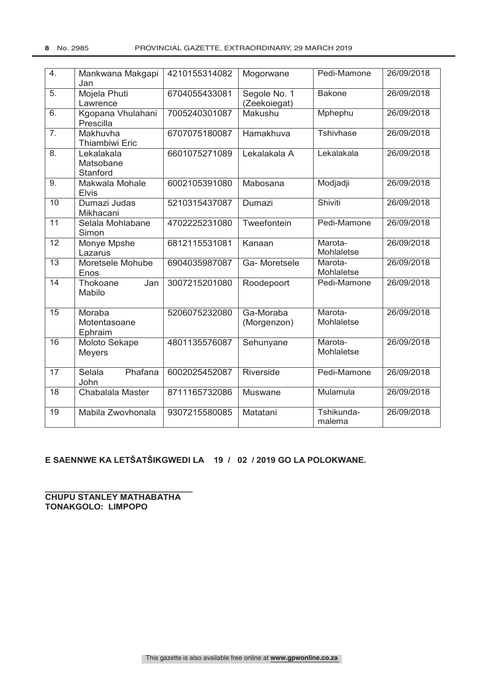| $\overline{4}$ . | Mankwana Makgapi<br>Jan             | 4210155314082 | Mogorwane                    | Pedi-Mamone           | 26/09/2018 |
|------------------|-------------------------------------|---------------|------------------------------|-----------------------|------------|
| 5.               | Mojela Phuti<br>Lawrence            | 6704055433081 | Segole No. 1<br>(Zeekoiegat) | <b>Bakone</b>         | 26/09/2018 |
| 6.               | Kgopana Vhulahani<br>Prescilla      | 7005240301087 | Makushu                      | Mphephu               | 26/09/2018 |
| 7.               | Makhuvha<br><b>Thiambiwi Eric</b>   | 6707075180087 | Hamakhuva                    | <b>Tshivhase</b>      | 26/09/2018 |
| 8.               | Lekalakala<br>Matsobane<br>Stanford | 6601075271089 | Lekalakala A                 | Lekalakala            | 26/09/2018 |
| 9.               | Makwala Mohale<br><b>Elvis</b>      | 6002105391080 | Mabosana                     | Modjadji              | 26/09/2018 |
| 10               | Dumazi Judas<br>Mikhacani           | 5210315437087 | Dumazi                       | Shiviti               | 26/09/2018 |
| $\overline{11}$  | Selala Mohlabane<br>Simon           | 4702225231080 | Tweefontein                  | Pedi-Mamone           | 26/09/2018 |
| $\overline{12}$  | Monye Mpshe<br>Lazarus              | 6812115531081 | Kanaan                       | Marota-<br>Mohlaletse | 26/09/2018 |
| $\overline{13}$  | Moretsele Mohube<br>Enos            | 6904035987087 | Ga-Moretsele                 | Marota-<br>Mohlaletse | 26/09/2018 |
| 14               | Thokoane<br>Jan<br>Mabilo           | 3007215201080 | Roodepoort                   | Pedi-Mamone           | 26/09/2018 |
| 15               | Moraba<br>Motentasoane<br>Ephraim   | 5206075232080 | Ga-Moraba<br>(Morgenzon)     | Marota-<br>Mohlaletse | 26/09/2018 |
| 16               | Moloto Sekape<br><b>Meyers</b>      | 4801135576087 | Sehunyane                    | Marota-<br>Mohlaletse | 26/09/2018 |
| 17               | Selala<br>Phafana<br>John           | 6002025452087 | Riverside                    | Pedi-Mamone           | 26/09/2018 |
| 18               | Chabalala Master                    | 8711165732086 | <b>Muswane</b>               | Mulamula              | 26/09/2018 |
| 19               | Mabila Zwovhonala                   | 9307215580085 | Matatani                     | Tshikunda-<br>malema  | 26/09/2018 |

# **E SAENNWE KA LETŠATŠIKGWEDI LA 19 / 02 / 2019 GO LA POLOKWANE.**

**CHUPU STANLEY MATHABATHA TONAKGOLO: LIMPOPO** 

**\_\_\_\_\_\_\_\_\_\_\_\_\_\_\_\_\_\_\_\_\_\_\_\_\_\_\_\_\_\_\_**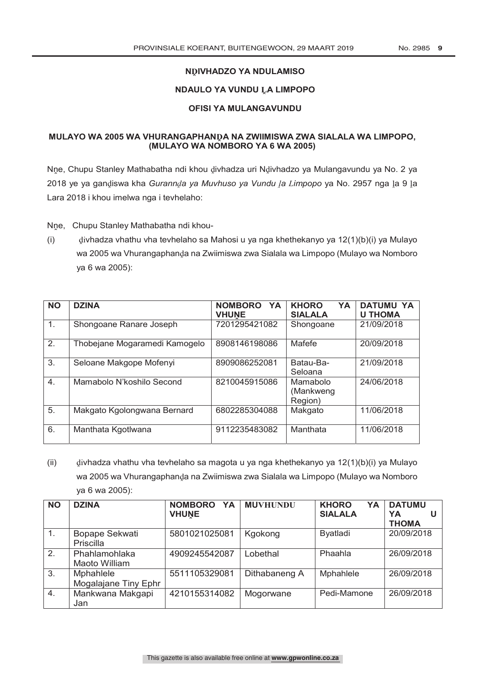# **NḒIVHADZO YA NDULAMISO**

# **NDAULO YA VUNDU ḼA LIMPOPO**

# **OFISI YA MULANGAVUNDU**

# **MULAYO WA 2005 WA VHURANGAPHANḒA NA ZWIIMISWA ZWA SIALALA WA LIMPOPO, (MULAYO WA NOMBORO YA 6 WA 2005)**

Nne, Chupu Stanley Mathabatha ndi khou divhadza uri Ndivhadzo ya Mulangavundu ya No. 2 ya 2018 ye ya ganḓiswa kha *Gurannḓa ya Muvhuso ya Vundu ḽa Limpopo* ya No. 2957 nga ḽa 9 ḽa Lara 2018 i khou imelwa nga i tevhelaho:

Nne, Chupu Stanley Mathabatha ndi khou-

(i) ḓivhadza vhathu vha tevhelaho sa Mahosi u ya nga khethekanyo ya 12(1)(b)(i) ya Mulayo wa 2005 wa Vhurangaphanḍa na Zwiimiswa zwa Sialala wa Limpopo (Mulayo wa Nomboro ya 6 wa 2005):

| <b>NO</b> | <b>DZINA</b>                  | <b>NOMBORO</b><br>YA<br><b>VHUNE</b> | <b>KHORO</b><br><b>YA</b><br><b>SIALALA</b> | <b>DATUMU YA</b><br><b>U THOMA</b> |
|-----------|-------------------------------|--------------------------------------|---------------------------------------------|------------------------------------|
| 1.        | Shongoane Ranare Joseph       | 7201295421082                        | Shongoane                                   | 21/09/2018                         |
| 2.        | Thobejane Mogaramedi Kamogelo | 8908146198086                        | Mafefe                                      | 20/09/2018                         |
| 3.        | Seloane Makgope Mofenyi       | 8909086252081                        | Batau-Ba-<br>Seloana                        | 21/09/2018                         |
| 4.        | Mamabolo N'koshilo Second     | 8210045915086                        | Mamabolo<br>(Mankweng<br>Region)            | 24/06/2018                         |
| 5.        | Makgato Kgolongwana Bernard   | 6802285304088                        | Makgato                                     | 11/06/2018                         |
| 6.        | Manthata Kgotlwana            | 9112235483082                        | Manthata                                    | 11/06/2018                         |

(ii) ḓivhadza vhathu vha tevhelaho sa magota u ya nga khethekanyo ya 12(1)(b)(i) ya Mulayo wa 2005 wa Vhurangaphanda na Zwiimiswa zwa Sialala wa Limpopo (Mulayo wa Nomboro ya 6 wa 2005):

| <b>NO</b> | <b>DZINA</b>         | <b>NOMBORO</b><br><b>YA</b><br><b>VHUNE</b> | <b>MUVHUNDU</b> | <b>KHORO</b><br>YA<br><b>SIALALA</b> | <b>DATUMU</b><br>YA<br>U   |
|-----------|----------------------|---------------------------------------------|-----------------|--------------------------------------|----------------------------|
| 1.        | Bopape Sekwati       | 5801021025081                               | Kgokong         | <b>Byatladi</b>                      | <b>THOMA</b><br>20/09/2018 |
|           | Priscilla            |                                             |                 |                                      |                            |
| 2.        | Phahlamohlaka        | 4909245542087                               | Lobethal        | Phaahla                              | 26/09/2018                 |
|           | Maoto William        |                                             |                 |                                      |                            |
| 3.        | <b>Mphahlele</b>     | 5511105329081                               | Dithabaneng A   | Mphahlele                            | 26/09/2018                 |
|           | Mogalajane Tiny Ephr |                                             |                 |                                      |                            |
| 4.        | Mankwana Makgapi     | 4210155314082                               | Mogorwane       | Pedi-Mamone                          | 26/09/2018                 |
|           | Jan                  |                                             |                 |                                      |                            |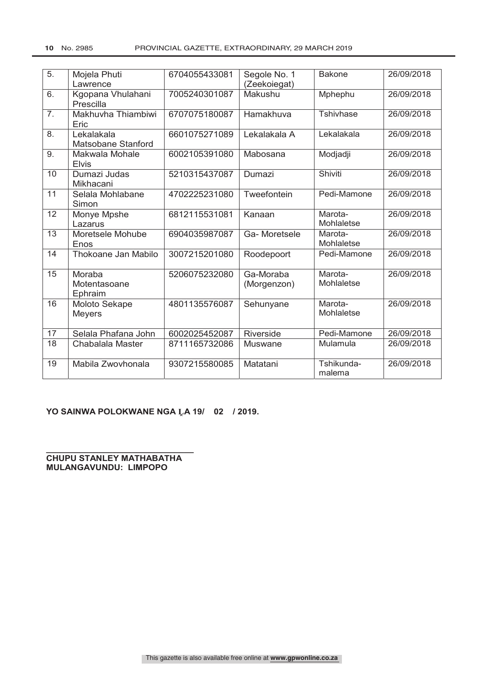| 5.               | Mojela Phuti<br>Lawrence          | 6704055433081 | Segole No. 1<br>(Zeekoiegat) | <b>Bakone</b>         | 26/09/2018 |
|------------------|-----------------------------------|---------------|------------------------------|-----------------------|------------|
| 6.               | Kgopana Vhulahani<br>Prescilla    | 7005240301087 | Makushu                      | Mphephu               | 26/09/2018 |
| $\overline{7}$ . | Makhuvha Thiambiwi<br>Eric        | 6707075180087 | Hamakhuva                    | Tshivhase             | 26/09/2018 |
| 8.               | Lekalakala<br>Matsobane Stanford  | 6601075271089 | Lekalakala A                 | Lekalakala            | 26/09/2018 |
| 9.               | Makwala Mohale<br><b>Elvis</b>    | 6002105391080 | Mabosana                     | Modjadji              | 26/09/2018 |
| 10               | Dumazi Judas<br>Mikhacani         | 5210315437087 | Dumazi                       | Shiviti               | 26/09/2018 |
| $\overline{11}$  | Selala Mohlabane<br>Simon         | 4702225231080 | Tweefontein                  | Pedi-Mamone           | 26/09/2018 |
| 12               | Monye Mpshe<br>Lazarus            | 6812115531081 | Kanaan                       | Marota-<br>Mohlaletse | 26/09/2018 |
| 13               | Moretsele Mohube<br>Enos          | 6904035987087 | Ga-Moretsele                 | Marota-<br>Mohlaletse | 26/09/2018 |
| 14               | Thokoane Jan Mabilo               | 3007215201080 | Roodepoort                   | Pedi-Mamone           | 26/09/2018 |
| $\overline{15}$  | Moraba<br>Motentasoane<br>Ephraim | 5206075232080 | Ga-Moraba<br>(Morgenzon)     | Marota-<br>Mohlaletse | 26/09/2018 |
| 16               | Moloto Sekape<br><b>Meyers</b>    | 4801135576087 | Sehunyane                    | Marota-<br>Mohlaletse | 26/09/2018 |
| 17               | Selala Phafana John               | 6002025452087 | Riverside                    | Pedi-Mamone           | 26/09/2018 |
| $\overline{18}$  | Chabalala Master                  | 8711165732086 | <b>Muswane</b>               | Mulamula              | 26/09/2018 |
| 19               | Mabila Zwovhonala                 | 9307215580085 | Matatani                     | Tshikunda-<br>malema  | 26/09/2018 |

# **YO SAINWA POLOKWANE NGA ḼA 19/ 02 / 2019.**

**\_\_\_\_\_\_\_\_\_\_\_\_\_\_\_\_\_\_\_\_\_\_\_\_\_\_\_\_\_\_\_ CHUPU STANLEY MATHABATHA MULANGAVUNDU: LIMPOPO**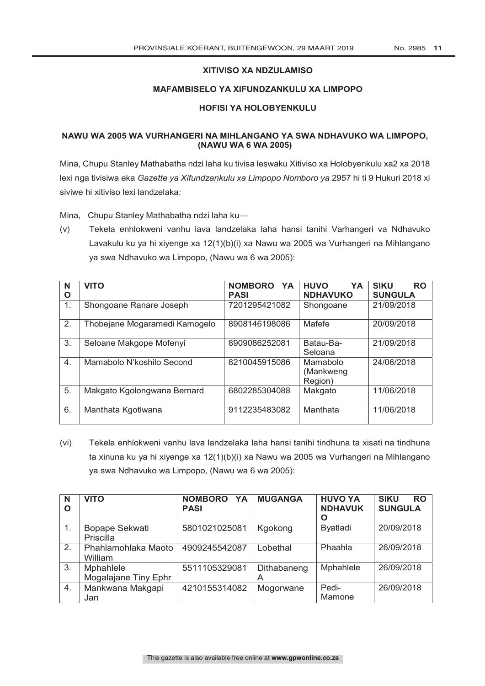# **XITIVISO XA NDZULAMISO**

#### **MAFAMBISELO YA XIFUNDZANKULU XA LIMPOPO**

## **HOFISI YA HOLOBYENKULU**

# **NAWU WA 2005 WA VURHANGERI NA MIHLANGANO YA SWA NDHAVUKO WA LIMPOPO, (NAWU WA 6 WA 2005)**

Mina, Chupu Stanley Mathabatha ndzi laha ku tivisa leswaku Xitiviso xa Holobyenkulu xa2 xa 2018 lexi nga tivisiwa eka *Gazette ya Xifundzankulu xa Limpopo Nomboro ya* 2957 hi ti 9 Hukuri 2018 xi siviwe hi xitiviso lexi landzelaka:

Mina, Chupu Stanley Mathabatha ndzi laha ku—

(v) Tekela enhlokweni vanhu lava landzelaka laha hansi tanihi Varhangeri va Ndhavuko Lavakulu ku ya hi xiyenge xa 12(1)(b)(i) xa Nawu wa 2005 wa Vurhangeri na Mihlangano ya swa Ndhavuko wa Limpopo, (Nawu wa 6 wa 2005):

| N<br>O           | <b>VITO</b>                   | NOMBORO YA<br><b>PASI</b> | <b>YA</b><br><b>HUVO</b><br><b>NDHAVUKO</b> | <b>SIKU</b><br><b>RO</b><br><b>SUNGULA</b> |
|------------------|-------------------------------|---------------------------|---------------------------------------------|--------------------------------------------|
| 1.               | Shongoane Ranare Joseph       | 7201295421082             | Shongoane                                   | 21/09/2018                                 |
| 2.               | Thobejane Mogaramedi Kamogelo | 8908146198086             | Mafefe                                      | 20/09/2018                                 |
| 3.               | Seloane Makgope Mofenyi       | 8909086252081             | Batau-Ba-<br>Seloana                        | 21/09/2018                                 |
| $\overline{4}$ . | Mamabolo N'koshilo Second     | 8210045915086             | Mamabolo<br>(Mankweng<br>Region)            | 24/06/2018                                 |
| 5.               | Makgato Kgolongwana Bernard   | 6802285304088             | Makgato                                     | 11/06/2018                                 |
| 6.               | Manthata Kgotlwana            | 9112235483082             | Manthata                                    | 11/06/2018                                 |

(vi) Tekela enhlokweni vanhu lava landzelaka laha hansi tanihi tindhuna ta xisati na tindhuna ta xinuna ku ya hi xiyenge xa 12(1)(b)(i) xa Nawu wa 2005 wa Vurhangeri na Mihlangano ya swa Ndhavuko wa Limpopo, (Nawu wa 6 wa 2005):

| N<br>$\Omega$ | <b>VITO</b>                       | <b>NOMBORO</b><br><b>YA</b><br><b>PASI</b> | <b>MUGANGA</b>   | <b>HUVO YA</b><br><b>NDHAVUK</b><br>O | <b>SIKU</b><br><b>RO</b><br><b>SUNGULA</b> |
|---------------|-----------------------------------|--------------------------------------------|------------------|---------------------------------------|--------------------------------------------|
| 1.            | Bopape Sekwati<br>Priscilla       | 5801021025081                              | Kgokong          | <b>Byatladi</b>                       | 20/09/2018                                 |
| 2.            | Phahlamohlaka Maoto<br>William    | 4909245542087                              | Lobethal         | Phaahla                               | 26/09/2018                                 |
| 3.            | Mphahlele<br>Mogalajane Tiny Ephr | 5511105329081                              | Dithabaneng<br>A | Mphahlele                             | 26/09/2018                                 |
| 4.            | Mankwana Makgapi<br>Jan           | 4210155314082                              | Mogorwane        | Pedi-<br>Mamone                       | 26/09/2018                                 |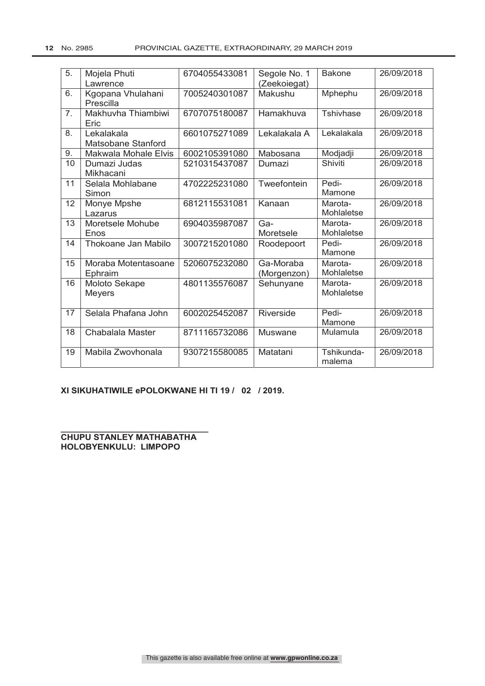| 5.               | Mojela Phuti<br>Lawrence         | 6704055433081 | Segole No. 1             | <b>Bakone</b>         | 26/09/2018 |
|------------------|----------------------------------|---------------|--------------------------|-----------------------|------------|
|                  |                                  |               | (Zeekoiegat)             |                       |            |
| 6.               | Kgopana Vhulahani<br>Prescilla   | 7005240301087 | Makushu                  | Mphephu               | 26/09/2018 |
| $\overline{7}$ . | Makhuvha Thiambiwi<br>Eric       | 6707075180087 | Hamakhuva                | <b>Tshivhase</b>      | 26/09/2018 |
| 8.               | Lekalakala<br>Matsobane Stanford | 6601075271089 | Lekalakala A             | Lekalakala            | 26/09/2018 |
| 9.               | Makwala Mohale Elvis             | 6002105391080 | Mabosana                 | Modjadji              | 26/09/2018 |
| 10               | Dumazi Judas<br>Mikhacani        | 5210315437087 | Dumazi                   | Shiviti               | 26/09/2018 |
| 11               | Selala Mohlabane<br>Simon        | 4702225231080 | Tweefontein              | Pedi-<br>Mamone       | 26/09/2018 |
| 12               | Monye Mpshe<br>Lazarus           | 6812115531081 | Kanaan                   | Marota-<br>Mohlaletse | 26/09/2018 |
| 13               | Moretsele Mohube<br>Enos         | 6904035987087 | Ga-<br>Moretsele         | Marota-<br>Mohlaletse | 26/09/2018 |
| 14               | Thokoane Jan Mabilo              | 3007215201080 | Roodepoort               | Pedi-<br>Mamone       | 26/09/2018 |
| 15               | Moraba Motentasoane<br>Ephraim   | 5206075232080 | Ga-Moraba<br>(Morgenzon) | Marota-<br>Mohlaletse | 26/09/2018 |
| 16               | Moloto Sekape<br><b>Meyers</b>   | 4801135576087 | Sehunyane                | Marota-<br>Mohlaletse | 26/09/2018 |
| 17               | Selala Phafana John              | 6002025452087 | Riverside                | Pedi-<br>Mamone       | 26/09/2018 |
| 18               | Chabalala Master                 | 8711165732086 | Muswane                  | Mulamula              | 26/09/2018 |
| 19               | Mabila Zwovhonala                | 9307215580085 | Matatani                 | Tshikunda-<br>malema  | 26/09/2018 |

# **XI SIKUHATIWILE ePOLOKWANE HI TI 19 / 02 / 2019.**

**\_\_\_\_\_\_\_\_\_\_\_\_\_\_\_\_\_\_\_\_\_\_\_\_\_\_\_\_\_\_\_ CHUPU STANLEY MATHABATHA HOLOBYENKULU: LIMPOPO**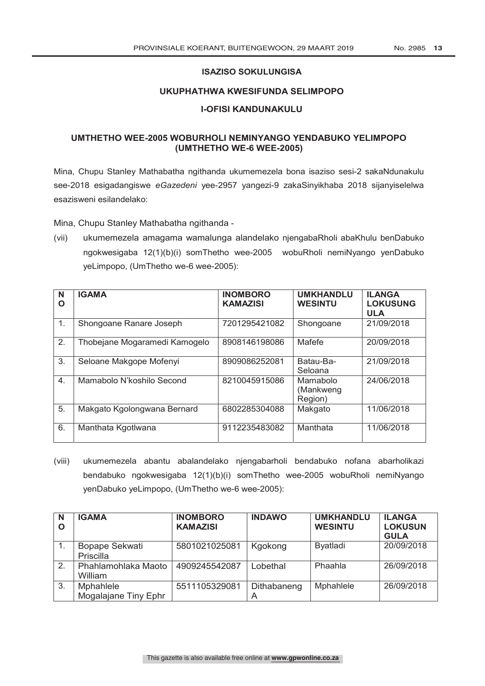# **ISAZISO SOKULUNGISA**

# **UKUPHATHWA KWESIFUNDA SELIMPOPO**

## **I-OFISI KANDUNAKULU**

# **UMTHETHO WEE-2005 WOBURHOLI NEMINYANGO YENDABUKO YELIMPOPO (UMTHETHO WE-6 WEE-2005)**

Mina, Chupu Stanley Mathabatha ngithanda ukumemezela bona isaziso sesi-2 sakaNdunakulu see-2018 esigadangiswe *eGazedeni* yee-2957 yangezi-9 zakaSinyikhaba 2018 sijanyiselelwa esazisweni esilandelako:

Mina, Chupu Stanley Mathabatha ngithanda -

(vii) ukumemezela amagama wamalunga alandelako njengabaRholi abaKhulu benDabuko ngokwesigaba 12(1)(b)(i) somThetho wee-2005 wobuRholi nemiNyango yenDabuko yeLimpopo, (UmThetho we-6 wee-2005):

| N<br>Ο | <b>IGAMA</b>                  | <b>INOMBORO</b><br><b>KAMAZISI</b> | <b>UMKHANDLU</b><br><b>WESINTU</b> | <b>ILANGA</b><br><b>LOKUSUNG</b><br><b>ULA</b> |
|--------|-------------------------------|------------------------------------|------------------------------------|------------------------------------------------|
| 1.     | Shongoane Ranare Joseph       | 7201295421082                      | Shongoane                          | 21/09/2018                                     |
| 2.     | Thobejane Mogaramedi Kamogelo | 8908146198086                      | Mafefe                             | 20/09/2018                                     |
| 3.     | Seloane Makgope Mofenyi       | 8909086252081                      | Batau-Ba-<br>Seloana               | 21/09/2018                                     |
| 4.     | Mamabolo N'koshilo Second     | 8210045915086                      | Mamabolo<br>(Mankweng<br>Region)   | 24/06/2018                                     |
| 5.     | Makgato Kgolongwana Bernard   | 6802285304088                      | Makgato                            | 11/06/2018                                     |
| 6.     | Manthata Kgotlwana            | 9112235483082                      | Manthata                           | 11/06/2018                                     |

(viii) ukumemezela abantu abalandelako njengabarholi bendabuko nofana abarholikazi bendabuko ngokwesigaba 12(1)(b)(i) somThetho wee-2005 wobuRholi nemiNyango yenDabuko yeLimpopo, (UmThetho we-6 wee-2005):

| N<br>$\mathbf O$ | <b>IGAMA</b>                             | <b>INOMBORO</b><br><b>KAMAZISI</b> | <b>INDAWO</b> | <b>UMKHANDLU</b><br><b>WESINTU</b> | <b>ILANGA</b><br><b>LOKUSUN</b><br><b>GULA</b> |
|------------------|------------------------------------------|------------------------------------|---------------|------------------------------------|------------------------------------------------|
|                  | Bopape Sekwati<br>Priscilla              | 5801021025081                      | Kgokong       | Byatladi                           | 20/09/2018                                     |
| 2.               | Phahlamohlaka Maoto<br>William           | 4909245542087                      | Lobethal      | Phaahla                            | 26/09/2018                                     |
| 3.               | <b>Mphahlele</b><br>Mogalajane Tiny Ephr | 5511105329081                      | Dithabaneng   | Mphahlele                          | 26/09/2018                                     |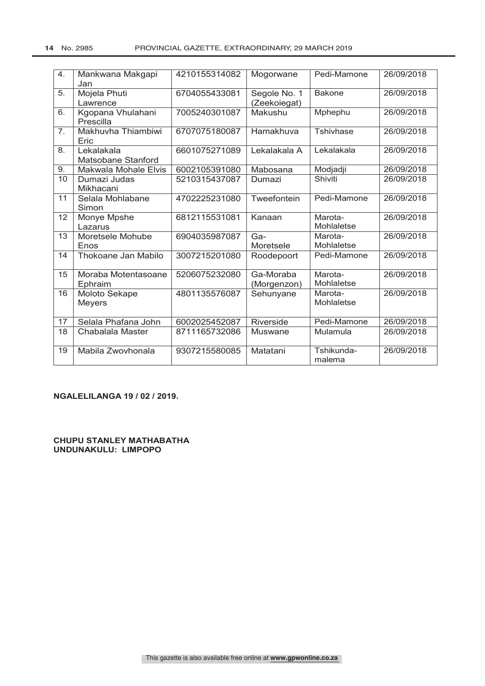| 4.             | Mankwana Makgapi     | 4210155314082 | Mogorwane    | Pedi-Mamone   | 26/09/2018 |
|----------------|----------------------|---------------|--------------|---------------|------------|
|                | Jan                  |               |              |               |            |
| 5.             | Mojela Phuti         | 6704055433081 | Segole No. 1 | <b>Bakone</b> | 26/09/2018 |
|                | Lawrence             |               | (Zeekoiegat) |               |            |
| 6.             | Kgopana Vhulahani    | 7005240301087 | Makushu      | Mphephu       | 26/09/2018 |
|                | Prescilla            |               |              |               |            |
| 7 <sub>1</sub> | Makhuvha Thiambiwi   | 6707075180087 | Hamakhuva    | Tshivhase     | 26/09/2018 |
|                | Eric                 |               |              |               |            |
| 8.             | Lekalakala           | 6601075271089 | Lekalakala A | Lekalakala    | 26/09/2018 |
|                | Matsobane Stanford   |               |              |               |            |
| 9.             | Makwala Mohale Elvis | 6002105391080 | Mabosana     | Modjadji      | 26/09/2018 |
| 10             | Dumazi Judas         | 5210315437087 | Dumazi       | Shiviti       | 26/09/2018 |
|                | Mikhacani            |               |              |               |            |
| 11             | Selala Mohlabane     | 4702225231080 | Tweefontein  | Pedi-Mamone   | 26/09/2018 |
|                | Simon                |               |              |               |            |
| 12             | Monye Mpshe          | 6812115531081 | Kanaan       | Marota-       | 26/09/2018 |
|                | Lazarus              |               |              | Mohlaletse    |            |
| 13             | Moretsele Mohube     | 6904035987087 | Ga-          | Marota-       | 26/09/2018 |
|                |                      |               |              | Mohlaletse    |            |
|                | Enos                 |               | Moretsele    |               |            |
| 14             | Thokoane Jan Mabilo  | 3007215201080 | Roodepoort   | Pedi-Mamone   | 26/09/2018 |
|                |                      |               |              |               |            |
| 15             | Moraba Motentasoane  | 5206075232080 | Ga-Moraba    | Marota-       | 26/09/2018 |
|                | Ephraim              |               | (Morgenzon)  | Mohlaletse    |            |
| 16             | Moloto Sekape        | 4801135576087 | Sehunyane    | Marota-       | 26/09/2018 |
|                | <b>Meyers</b>        |               |              | Mohlaletse    |            |
|                |                      |               |              |               |            |
| 17             | Selala Phafana John  | 6002025452087 | Riverside    | Pedi-Mamone   | 26/09/2018 |
| 18             | Chabalala Master     | 8711165732086 | Muswane      | Mulamula      | 26/09/2018 |
|                |                      |               |              |               |            |
| 19             | Mabila Zwovhonala    | 9307215580085 | Matatani     | Tshikunda-    | 26/09/2018 |
|                |                      |               |              | malema        |            |

#### **NGALELILANGA 19 / 02 / 2019.**

**CHUPU STANLEY MATHABATHA UNDUNAKULU: LIMPOPO**